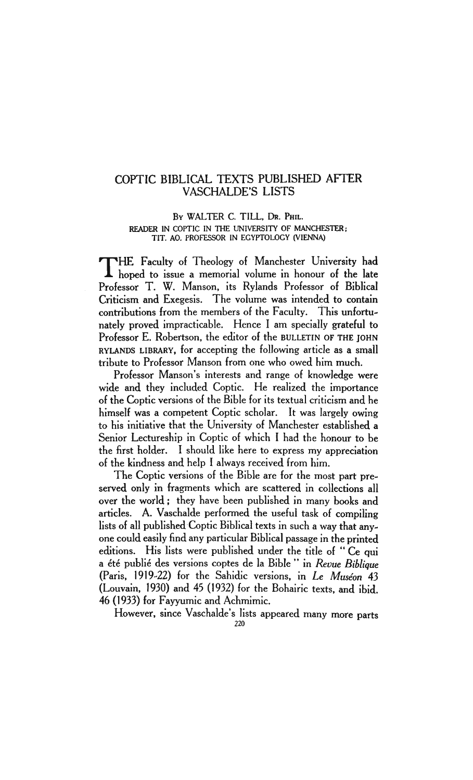# COPTIC BIBLICAL TEXTS PUBLISHED AFTER VASCHALDE'S LISTS

## By WALTER C. TILL. OR. PHIL. READER IN COPTIC IN THE UNIVERSITY OF MANCHESTER; TIT. AO. PROFESSOR IN EGYPTOLOGY (VIENNA)

THE Faculty of Theology of Manchester University had<br>
hoped to issue a memorial volume in honour of the late Professor T. W. Manson, its Rylands Professor of Biblical Criticism and Exegesis. The volume was intended to contain contributions from the members of the Faculty. This unfortu~ nately proved impracticable. Hence I am specially grateful to Professor E. Robertson, the editor of the BULLETIN OF THE JOHN RYLANDS LIBRARY, for accepting the following article as a small tribute to Professor Manson from one who owed him much.

Professor Manson's interests and range of knowledge were wide and they included Coptic. He realized the importance of the Coptic versions of the Bible for its textual criticism and he himself was a competent Coptic scholar. It was largely owing to his initiative that the University of Manchester established a Senior Lectureship in Coptic of which I had the honour to be the first holder. I should like here to express my appreciation of the kindness and help I always received from him.

The Coptic versions of the Bible are for the most part preserved only in fragments which are scattered in collections all over the world; they have been published in many books and articles. A. Vaschalde performed the useful task of compiling lists of all published Coptic Biblical texts in such a way that anyone could easily find any particular Biblical passage in the printed editions. His lists were published under the title of "Ce qui a ete publie des versions coptes de la Bible" in *Revue Biblique* (Paris, 1919-22) for the Sahidic versions, in *Le Muséon* 43 (Louvain, 1930) and 45 (1932) for the Bohairic texts, and ibid. 46 (1933) for Fayyumic and Achmimic.

However, since Vaschalde's lists appeared many more parts

220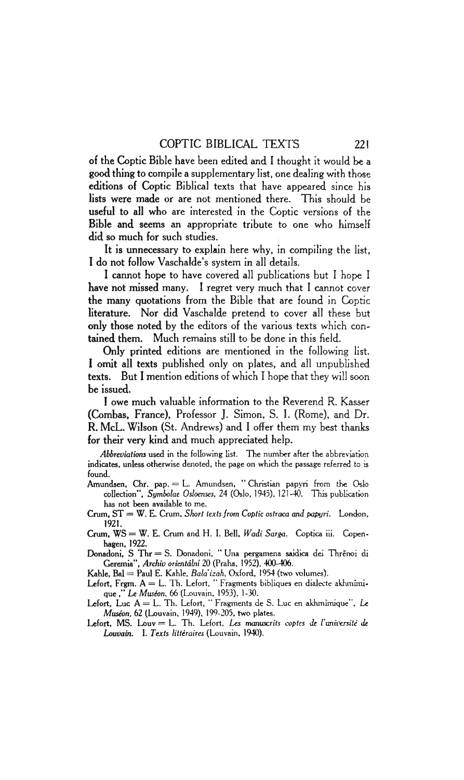of the Coptic Bible have been edited and I thought it would be a good thing to compile a supplementary list, one dealing with those editions of Coptic Biblical texts that have appeared since his lists were made or are not mentioned there. This should be useful to all who are interested in the Coptic versions of the Bible and seems an appropriate tribute to one who himself did so much for such studies.

It is unnecessary to explain here why, in compiling the list, I do not follow Vaschalde's system in all details.

I cannot hope to have covered all publications but I hope I have not missed many. I regret very much that I cannot cover the many quotations from the Bible that are found in Coptic literature. Nor did Vaschalde pretend to cover all these but only those noted by the editors of the various texts which contained them. Much remains still to be done in this field.

Only printed editions are mentioned in the following list. I omit all texts published only on plates, and all unpublished texts. But I mention editions of which I hope that they will soon be issued.

I owe much valuable information to the Reverend R. Kasser (Combas. France). Professor j. Simon, S. I. (Rome), and Dr. R. McL. Wilson (St. Andrews) and I offer them my best thanks for their very kind and much appreciated help.

*Abbreviations* used in the following list. The number after the abbreviation indicates, unless otherwise denoted, the page on which the passage referred to is found.

- Amundsen, Chr. pap.  $= L$ . Amundsen, "Christian papyri from the Oslo collection", *Symbolae Osloenses,* 24 (Oslo, 1945), 121-40. This publication has not been available to me.
- Crum,  $ST = W$ . E. Crum, *Short texts from Coptic* ostraca and papyri. London, 1921.

Crum, WS = W. E. Crum and H. I. Bell, *Wadi Sarga.* Coptica iii. Copenhagen. 1922.

Donadoni, S Thr = S. Donadoni, "Una pergamena saidica dei Thrênoi di Geremia", *Archiv orientalni* 20 (Praha. 1952),400-406.

Kahle. &1 = Paul E. Kahle, *Bala'izah,* Oxford, 1954 (two volumes).

Lefort, Frgm. A = L. Th. Lefort, "Fragments bibliques en dialecte akhmimique," *Le Museon.* 66 (Louvain. 1953). 1-30.

Lefort, Luc A= L. Th. Lefort, .. Fragments de S. Luc en aklunimique", *Le Museon,* 62 (Louvain. 1949), 199-205. two plates.

Lefort, MS. Louv = L. Th. Lefort, *Les manuscrits coptes de l'aniversité de Louvain.* 1. *Texts litteraire5* (Louvain. 1940).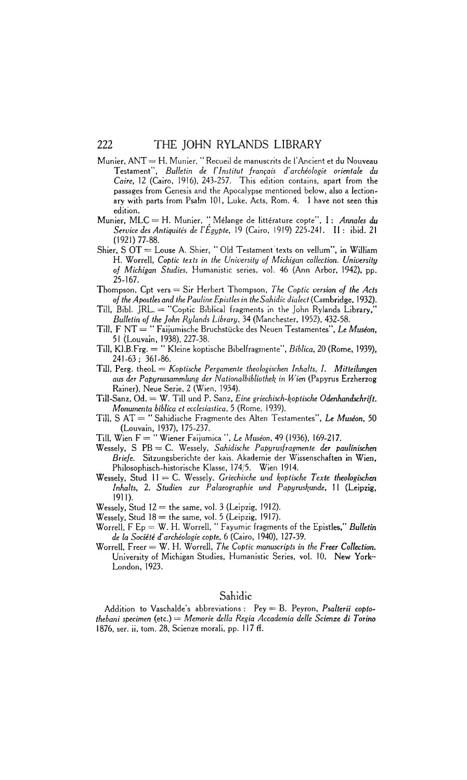- Munier, ANT = H. Munier, "Recueil de manuscrits de l'Ancient et du Nouveau Testament", *Bulletin de l'lnstitut /ranr;ais d'archeologie orientale du Caire,* 12 (Cairo, 1916),243-257. This edition contains, apart from the passages from Genesis and the Apocalypse mentioned below, also a lectionary with parts from Psalm 101, Luke, Acts, Rom. 4. I have not seen this edition.
- Munier, MLC = H. Munier, "Mélange de littérature copte", I: Annales du *Service des Antiquites de l'Egypte,* 19 (Cairo, 1919) 225·24I. II: ibid. 21 (1921) 77-88.
- Shier, S OT = Louse A. Shier, "Old Testament texts on vellum", in William H. Worrell, *Coptic texts in the Unillersity* 0/ *Michigan collection. University 0/ Michigan Studies,* Humanistic series, vol. 46 (Ann Arbor, 1942), pp. 25·167.
- Thompson, Cpt vers = Sir Herbert Thompson, *The Coptic version of the Acts 0/ the Apostles and the Pauline Epistles in theSahidic dialect* (Cambridge, 1932).
- Till, Bibl. JRL. = "Coptic Biblical fragments in the John Rylands Library," *Bulletin* 0/ *the John Rylands Library,* 34 (Manchester, 1952), 432·58.
- Till, F NT = " Faijumische Bruchstiicke des Neuen Testamentes", *Le Museon,* 51 (Louvain, 1938),227-38.
- Till, KI.B.Frg. = .. Kleine koptische Bibelfragmente", *Biblica,* 20 (Rome, 1939), 241-63; 361-86.
- Till, Perg. theol. = *Koptische Pergamente theologischen Inhalts, I. Mitteilungen aus der Papyrussammlung der Nationalbibliothek in U-'ien* (Papyrus Erzherzog Rainer), Neue Serie, 2 (Wien, 1934).
- Till-Sanz, ad. = W. Till und P. Sanz, fine *griechisch-koptische Odenhandschrift. Monumenta biblica* et *ecclesiastica,* 5 (Rome, 1939).
- Till, SAT = .. Sahidische Fragmente des Alten Testamentes", Le *Muston, 50* (Louvain, 1937), 175-237.
- Till, Wien F = .. Wiener Faijumica ", *Le Museon,* 49 (1936), 169-217.
- Wessely, S PB = C. Wessely, *Sahidische Papyrus/ragmente der paulinischen Brie/e.* Sitzungsberichte der kais. Akademie der Wissenschaften in Wien, Philosophisch-historische Klasse, 174/5. Wien 1914.
- Wessely, Stud <sup>11</sup> = C. Wessely, *Griechische und koptische Texte theologischen Inhalts,* 2. *Studien zur Palaeographie und Papyruskunde,* <sup>11</sup> (Leipzig, 1911).
- Wessely, Stud  $12 =$  the same, vol. 3 (Leipzig, 1912).
- Wessely, Stud  $18 =$  the same, vol. 5 (Leipzig, 1917).
- Worrell, F Ep = W. H. Worrell, "Fayumic fragments of the Epistles," *Bulletin de la Societe d'archeologie copte,* 6 (Cairo, 1940), 127-39.
- Worrell, Freer = W. H. Worrell, *The Coptic manuscripts in the Freer Collection.* University of Michigan Studies, Humanistic Series, vol. 10. New York-London, 1923.

### Sahidic

Addition to Vaschalde's abbreviations: Pey = B. Peyron, *Psalterii coptothebani specimen* (etc.) = *Memorie della Regia Accademia delle Scienze di Torino* 1876, ser. ii, tom. 28, Scienze morali, pp. 117 fl.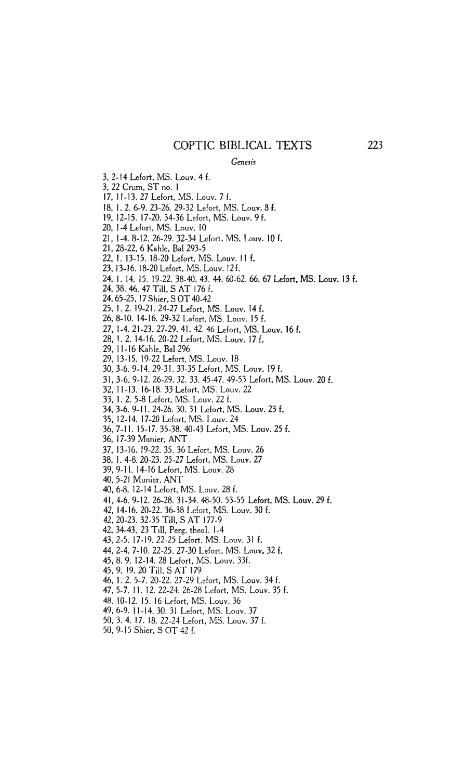# COPTIC BIBLICAL TEXTS

## *Genesis*

3, 2-14 Lefort, MS. Louv. 4 f.

3. 22 Crum. ST no. 1

17, 11-13. 27 Lefort, MS. Louv. 7 f.

18, 1. 2. 6-9. 23-26. 29-32 Lefort, MS. Louv. 8 f.

19, 12-15. 17-20.34-36 Lefort, MS. Louv. 9 f.

20, 1-4 Lefort, MS. Louv. 10

21, 1-4.8-12.26-29.32-34 Lefort. MS. Louv. 10 f.

21.28-22.6 Kahle. Ba1293-5

22, J. 13-15. 18-20 Lefort. MS. Louv. <sup>11</sup> f.

23.13-16.18-20 Lefort. MS. Louv. 12 f.

24, J. 14. 15. 19-22.38-40.43.44.60-62.66.67 Lefort, MS. Louv. 13 f.

24. 38. 46. 47 Till. S AT 176 f.

24,65-25.17 Shier. S OT 40-42

25, J. 2. 19-21. 24-27 Lefort. MS. Louv. 14 f.

26, 8-10. 14-16. 29-32 Lefort, MS. Louv. 15 f.

27, 1-4.21-23.27-29.41. 42. 46 Lefort. MS. Louv. 16 f.

28, J. 2. 14-16. 20-22 Lefort. MS. Louv. 17 f.

29. 11-16 Kahle. Ba1296

29, 13-15. 19-22 Lefort, MS. Louv. 18

30.3-6.9-14.29-31. 33-35 Lefort. MS. Louv. 19 f.

31,3-6.9-12.26-29.32.33.45-47.49-53 Lefort, MS. Louv. 20 f.

32, 11-13. 16-18. 33 Lefort, MS. Louv. 22

33. 1.2. 5-8 Lefort, MS. Louv. 22 f.

34, 3-6. 9-11. 24-26. 30. 31 Lefort, MS. Louv. 23 f.

35, 12-14. 17-20 Lefort, MS. Louv. 24

36,7-11. 15-17.35-38.40-43 Lefort, MS. Louv. 25 f.

36. 17-39 Munier, ANT

37. 13-16. 19-22.35.36 Lefort. MS. Louv. 26

38. 1. 4-8. 20-23. 25-27 Lefort, MS. Louv. 27

39, 9-11. 14-16 Lefort, MS. Louv. 28

40.5-21 Munier. ANT

40, 6-8. 12-14 Lefort, MS. Louv. 28 f.

41, 4-6. 9-12. 26-28. 31-34. 48-50. 53-55 Lefort. MS. Louv. 29 f.

. 42. 14-16.20-22.36-38 Lefort. MS. Louv. 30 f.

42. 20-23. 32-35 Till, SAT 177-9

42, 34-43, 23 Till, Perg. theol. 1-4

43, 2-5. 17-19. 22-25 Lefort, MS. Louv. 31 f.

44,2-4.7-10.22-25.27-30 Lefort, MS. Louv. 32 f.

45. 8. 9. 12-14. 28 Lefort, MS. Louv. 33f.

45.9.19.20 Till. SAT 179

46. 1. 2. 5-7. 20-22. 27-29 Lefort. MS. Louv. 34 f.

47, 5-7. 11. 12. 22-24. 26-28 Lefort, MS. Louv. 35 f.

48, 10-12. 15. 16 Lefort, MS. Louv. 36

49.6-9.11-14.30.31 Lefort, MS. Louv. 37

50,3.4.17.18.22-24 Lefort, MS. Louv. 37 f.

50. 9-15 Shier, S OT 42 f.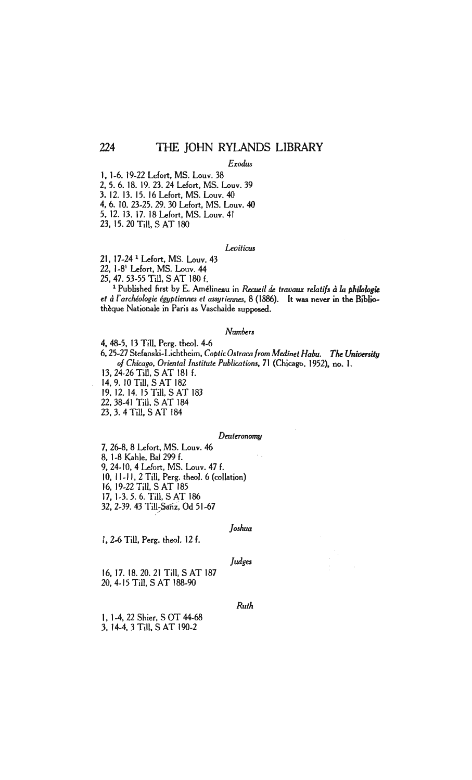### *Exodus*

I. 1.6. 19-22 Lefort. MS. Louv. 38

2.5.6. 18. 19.23.24 Lefort. MS. Louv. 39

3. 12. 13. 15. 16 Lefort. MS. Louv. 40

4.6. 10.23-25.29.30 Lefort. MS. Louv. 40

5. 12. 13. 17. 18 Lefort. MS. Louv. 41

23. 15.20 Till. S AT 180

### *Levitiew*

21, 17-24 <sup>1</sup> Lefort. MS. Louv. 43

22. 1\_8<sup>1</sup> Lefort. MS. Louv. 44

25.47.53-55 Till. SAT 180 f.

<sup>1</sup> Published first by E. Amélineau in *Recueil de travaux relatifs à la philologie et* a*l'archeologie 19yptiennes et assyriennes.* <sup>8</sup> (1886). It was never in the Bibliotheque Nationale in Paris as Vaschalde supposed.

### *Numbers*

4. 48-5. 13 Till. Perg. theo!. 4-6 6.25-27 Stefanski-Lichtheim. *Coptic Ostraca/rom Medinet Habu. Tlze* University *0/ Chicago. Oriental Institute Publications.* 71 (Chicago. 1952). no. I.

13.24.26 Till. SAT 181 f.

14.9. 10 Till. SAT 182

19. 12. 14. 15 Till. SAT 183

22. 38.41 Till. S AT 184

23.3.4 Till. S AT 184

#### *Deuteronomy*

7. 26-8. 8 Lefort. MS. Louv. 46 8. I-8 Kahle. Bal 299 f. 9.24-10.4 Lefort. MS. Louv. 47 f. 10. II-II. 2 Till. Perg. thea!. 6 (collation) 16. 19.22 Till. SAT 185 17. 1-3.5.6. Till. S AT 186 32, 2-39. 43 Till-Sanz, Od 51-67

#### *Joshua*

I. 2.6 Till. Perg. theol. 12 f.

*Judges*

16. 17. 18.20.21 Till. S AT 187 20. 4-15 Till. S AT 188-90

*Ruth*

I, 1-4. 22 Shier. S OT 44-68 3. 14-4.3 Till. S AT 190-2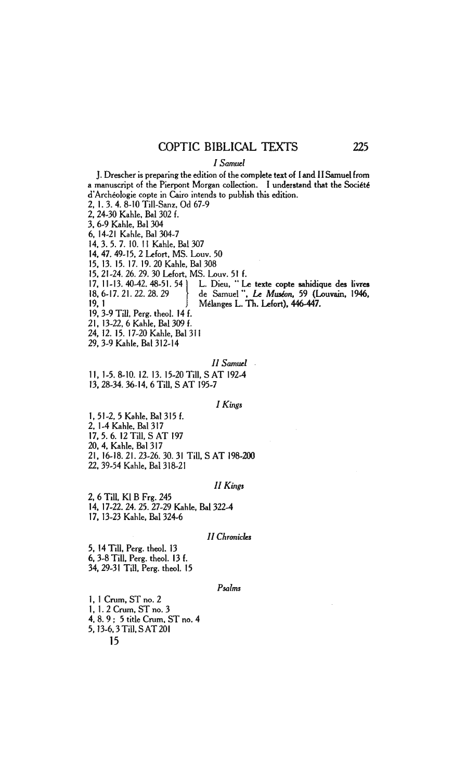### I Samuel

J. Drescher is preparing the edition of the complete text of I and II Samuel from a manuscript of the Pierpont Morgan collection. I understand that the Société d'Archéologie copte in Cairo intends to publish this edition.

2, 1. 3. 4. 8-10 Till-Sanz, Od 67-9

2, 24-30 Kahle, Bal 302 f.

3, 6-9 Kahle, Bal 304

6, 14-21 Kahle, Bal 304-7

14, 3, 5, 7, 10, 11 Kahle, Bal 307

14, 47. 49-15, 2 Lefort, MS. Louv. 50

15, 13. 15. 17. 19. 20 Kahle, Bal 308

15, 21-24. 26. 29. 30 Lefort, MS. Louv. 51 f.

L. Dieu, "Le texte copte sahidique des livres 17, 11-13, 40-42, 48-51, 54 } L. Dicu, L. Lexie copie santingue des avres<br>de Samuel ", Le Muséon, 59 (Louvain, 1946,<br>Mélanges L. Th. Lefort), 446-447. 18, 6-17, 21, 22, 28, 29  $19,1$ 19, 3-9 Till, Perg. theol. 14 f.

21, 13-22, 6 Kahle, Bal 309 f.

24, 12. 15. 17-20 Kahle, Bal 311

29, 3-9 Kahle, Bal 312-14

## **II** Samuel

11, 1-5, 8-10, 12, 13, 15-20 Till, SAT 192-4 13, 28-34. 36-14, 6 Till, S AT 195-7

## I Kings

1, 51-2, 5 Kahle, Bal 315 f. 2, 1-4 Kahle, Bal 317 17, 5. 6. 12 Till, S AT 197 20, 4, Kahle, Bal 317 21, 16-18. 21. 23-26. 30. 31 Till, SAT 198-200 22, 39-54 Kahle, Bal 318-21

### **II** Kings

2, 6 Till, KI B Frg. 245 14, 17-22. 24. 25. 27-29 Kahle, Bal 322-4 17, 13-23 Kahle, Bal 324-6

### **II** Chronicles

5, 14 Till, Perg. theol. 13 6, 3-8 Till, Perg. theol. 13 f. 34, 29-31 Till, Perg. theol. 15

### Psalms

1, 1 Crum, ST no. 2 1, 1. 2 Crum, ST no. 3 4, 8. 9 ; 5 title Crum, ST no. 4<br>5, 13-6, 3 Till, SAT 201 15

225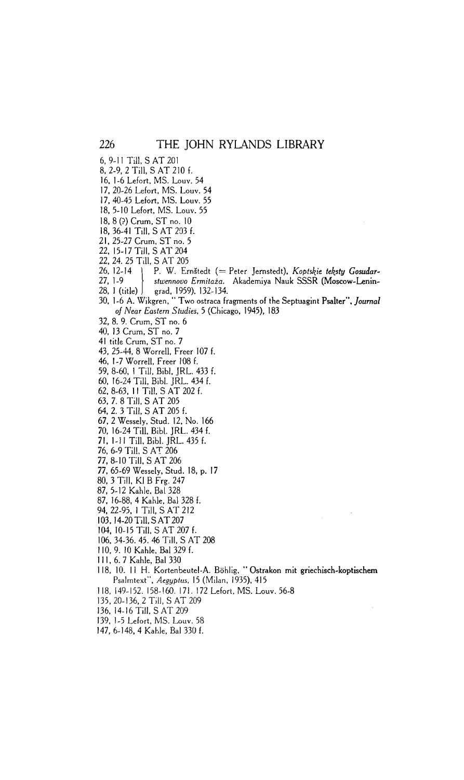- 6.9-11 Till. SAT 201
- 8.2-9.2 Till. SAT 210 f.
- 16. 1-6 Lefort. MS. Louy. 54
- 17. 20-26 Lefort. MS. Louy. 54 17.40-45 Lefort. MS. Louy. 55
- 18. 5-10 Lefort. MS. Louy. 55
- 18,8 (?) Crum. ST no. 10
- 18.36-41 Till. S AT 2Q3 f.
- 21, 25-27 Crum. ST no. 5
- 22. 15-17 Till. S AT 204
- 
- 22, 24. 25 Till, S AT 205<br>26, 12-14 | P. W. Er
- 26. 12-14 P. W. Ernštedt (= Peter Jernstedt). *Koptskie teksty Gosudar-*<br>27. 1-9 stwennovo Ermitaża. Akademiya Nauk SSSR (Moscow-Lenin-
- 27, 1-9 *stwennovo Ermitaża.* Akademiya Nauk SSSR (Moscow-Lenin-<br>28, 1 (title) <sup>grad</sup>, 1959), 132-134. 28, 1 (title) J grad, 1959), 132-134.
- 30, 1-6 A. Wikgren, '' Two ostraca fragments of the Septuagint Psalter'', *Journal of Near Eastern Studies.* 5 (Chicago, 1945), 183
- 32, 8. 9. Crum. ST no. 6
- 40. 13 Crum. ST no. 7
- 41 title Crum. ST no. 7
- 43, 25-44. 8 Worrell. Freer 107 f.
- 46. 1-7 Worrell. Freer 108 f.
- 59. 8-60. 1Till. Bib!. jRL. 433 f.
- 60. 16-24 Till. BibI. jRL. 434 f.
- 62, 8-63. <sup>11</sup> Till. S AT 202 f.
- 63. 7. 8 Till. S AT 205
- 64, 2. 3 Till. S AT 205 f.
- 67.2 Wessely. Stud. 12. No. 166
- 70, 16-24 Till. Bibl. jRL. 434 f.
- 71, I-II Till. Bibl. jRL. 435 f.
- 76. 6-9 Till. S AT 206
- 77,8-10 Till. SAT 206
- 77,65-69 Wessely. Stud. 18, p. 17
- 80.3 Till. KI B Frg. 247
- 87, 5-12 Kahle. Bal 328
- 87, 16-88.4 Kahle. Bal 328 f.
- 94, 22-95. 1Till, S AT 212
- 103, 14-20 Till. SAT 207
- 104,10-15 Till. SAT 207 f.
- 106.34-36.45.46 Till. SAT 208
- 110.9. 10 Kahle, Bal329 f.
- III. 6. 7 Kahle. Bal 330
- 118, 10. II H. Kortenbeutel-A. Böhlig, "Ostrakon mit griechisch-koptischem Psalmtext", Aegyptus, 15 (Milan, 1935), 415
- 118. 149-152. 158-160. 171. 172 Lefort, MS. Louy. 56-8
- 135.20-136.2 Till. SAT 209
- 136. 14-16 Till, SAT 209
- 139. 1-5 Lefort. MS. Louy. 58
- 147. 6- J48. 4 Kahle. Bal 330 f.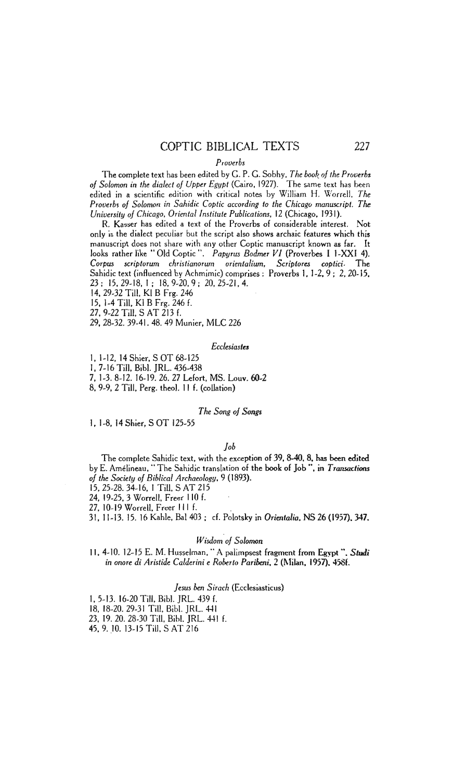### *Proverbs*

The complete text has been edited by G. P. G. Sobhy. *The book* 0/ *the Proverbs 0/ Solomon in the dialect* 0/ *Upper Egypt* (Cairo. 1927). The same text has been edited in a scientific edition with critical notes by William H. Worrell. The *Proverbs* 0/ *Solomon in Sahidic Coptic according to the Chicagu manuscript. The University* 0/ *Chicago, Oriental Institute Publications.* 12 (Chicago. 1931).

R. Kasser has edited a text of the Proverbs of considerable interest. Not only is the dialect peculiar but the script also shows archaic features which this manuscript does not share with any other Coptic manuscript known as far. It looks rather like" Old Coptic ". *Papyrus Bodmer VI* (Proverbes I I-XXI 4). *Corpus scriptorum christianorum orientalium, Scriptores coptici.* The Sahidic text (influenced by Achmimic) comprises: Proverbs 1, 1-2, 9; 2, 20-15. 23; 15.29-18. I; 18,9-20.9; 20,25-21,4.

14.29-32 Till. Kl B Frg.246

15. 1-4 Till. Kl B Frg. 246 f.

27.9-22 Till, S AT 213 f.

29.28-32.39-41. 48. 49 Munier. MLC 226

### *Ecclesiastes*

J. 1-12. 14 Shier. SOT 68-125

J. 7-16 Till. Bibl. jRL. 436-438

7. 1-3.8-12.16-19.26.27 Lefort. MS. Louv. 60-2

8. 9-9. 2 Till. Perg. theol. <sup>11</sup> f. (collation)

### *The Song of Songs*

I, 1-8. 14 Shier. SOT 125-55

### *Job*

The complete Sahidic text. with the exception of 39. 8-40. 8. has been edited by E. Amelineau... The Sahidic translation of the book of Job ", in *Transactions of the Society* 0/ *Biblical Archaeology.* 9 (1893).

15,25-28.34-16. 1Till. SAT 215

24. 19-25.3 Worrell. Freer 110 f.

27, 10-19 Worrell. Freer 111 f.

31. 11-13. 15. 16 Kahle. Ba1403; d. Polotsky in *Orientalia.* NS 26 (1957), 347.

### *Wisdom* 0/ *Solomon*

11, 4-10. 12-15 E. M. Husselman, "A palimpsest fragment from Egypt ". Studi *in onore di Aristide Calderini* e *Roberto Paribeni.* 2 (l\Iilan. 1957), 458f.

### *Jesus ben Sirach* (Ecclesiasticus)

1. 5-13. 16-20 Till. Bibl. jRL. 439 f. 18. 18-20.29-31 Till. Bib!. jRL. 441 23. 19.20.28-30 Till. Bihl. jRL. 441 f. 45.9.10. 13-15 Till. SAT 216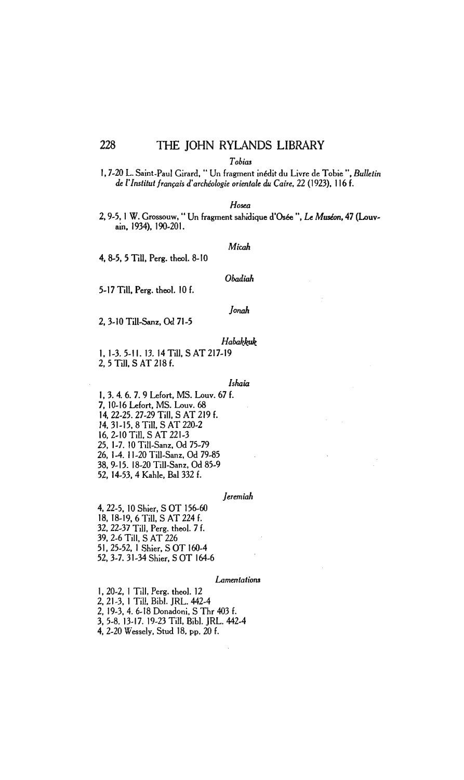Tobias

1, 7-20 L. Saint-Paul Girard, "Un fragment inédit du Livre de Tobie", Bulletin de l'Institut français d'archéologie orientale du Caire, 22 (1923), 116 f.

Hosea

2, 9-5, 1 W. Grossouw, "Un fragment sahidique d'Osée", Le Muséon, 47 (Louvain, 1934), 190-201.

Micah

4, 8-5, 5 Till, Perg. theol. 8-10

### Obadiah

5-17 Till, Perg. theol. 10 f.

Jonah

2, 3-10 Till-Sanz, Od 71-5

Habakkuk

1, 1-3. 5-11. 13. 14 Till, SAT 217-19 2, 5 Till, SAT 218 f.

## Ishaia

1, 3. 4. 6. 7. 9 Lefort, MS. Louv. 67 f. 7, 10-16 Lefort, MS. Louv. 68 14, 22-25. 27-29 Till, S AT 219 f. 14, 31-15, 8 Till, S AT 220-2 16, 2-10 Till, S AT 221-3 25, 1-7. 10 Till-Sanz, Od 75-79 26, 1-4. 11-20 Till-Sanz, Od 79-85 38, 9-15. 18-20 Till-Sanz, Od 85-9 52, 14-53, 4 Kahle, Bal 332 f.

### Jeremiah

4, 22-5, 10 Shier, S OT 156-60 18, 18-19, 6 Till, S AT 224 f. 32, 22-37 Till, Perg. theol. 7 f. 39, 2-6 Till, S AT 226 51, 25-52, 1 Shier, S OT 160-4 52, 3-7. 31-34 Shier, S OT 164-6

Lamentations

1, 20-2, 1 Till, Perg. theol. 12 2, 21-3, 1 Till, Bibl. JRL. 442-4 2, 19-3, 4. 6-18 Donadoni, S Thr 403 f. 3, 5-8, 13-17, 19-23 Till, Bibl. JRL. 442-4 4, 2-20 Wessely, Stud 18, pp. 20 f.

228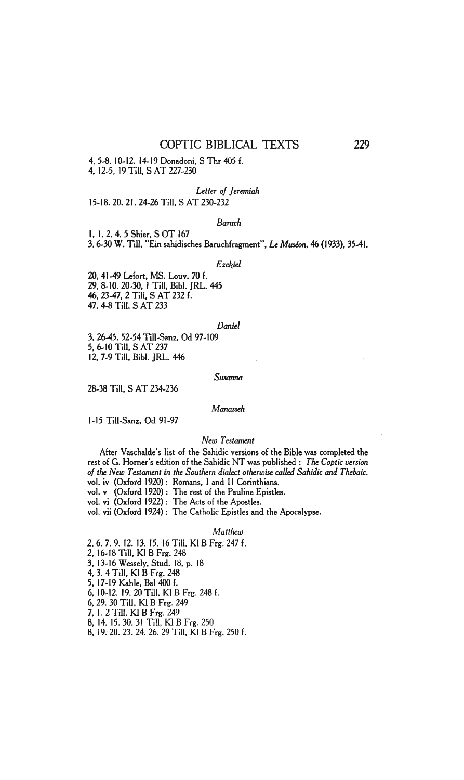4. 5-8. 10-12. 14-19 Donadoni. S Thr 405 f.

4. 12-5. 19 Till. S AT 227-230

*Letter of jeremiah*

15-18.20.21. 24-26 Till. SAT 230-232

### *BaTUJ:h*

1. 1. 2. 4. 5 Shier. S OT 167 3.6-30 W. Till. "Ein sahidisches Baruchfragment". Le *Mwion.* 46 (1933).35-41.

### *Ezekiel*

20.41-49 Lefort. MS. Louv. 70 f. 29.8-10.20-30. 1Till. Bib!. JRL. 445 46.23-47.2 Till. SAT 232 f. 47.4-8 Till. S AT 233

## *Daniel*

3.26-45. 52-54 Till-Sanz. Od 97-109 5.6-10 Till. SAT 237 12. 7-9 Till. Bib!. JRL. 446

### *Swarma*

28-38 Till. SAT 234-236

### *Manasseh*

1-15 Till-Sanz. Od 91-97

## *New Testament*

After Vaschalde's list of the Sahidic versions of the Bible was completed the rest of G. Homer's edition of the Sahidic NT was published: *The Coptic version of the New Testament in the Southern dialect otherwise called Sahidic and Thebaic.* vol. iv (Oxford 1920): Romans. I and II Corinthians.

vol. v (Oxford 1920): The rest of the Pauline Epistles.

vol. vi (Oxford 1922): The Acts of the Apostles.

vol. vii (Oxford 1924): The Catholic Epistles and the Apocalypse.

#### *Matthew*

- 2.6.7.9. 12. 13. 15. 16 Till. KI BFrg. 247 f.
- 2. 16-18 Till. KI B Frg. 248

3. 13-16 Wessely. Stud. 18. p. 18

- 4.3.4 Till. KI B Frg. 248
- 5. 17-19 Kahle. BaI400 f.
- 6. 10-12. 19.20 Till. KI B Frg. 248 f.
- 6.29.30 Till. KI B Frg. 249
- 7. I. 2 Till. KI B Frg. 249
- 8. 14. 15.30.31 Till. KI B Frg. 250
- 8. 19.20.23.24.26.29 Till. KI B Frg. 250 f.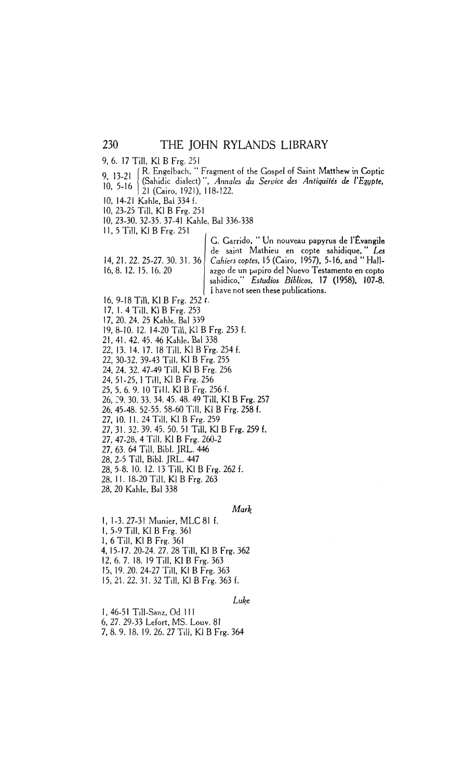9, 6. 17 Till, Kl B Frg. 251

230

R. Engelbach, "Fragment of the Gospel of Saint Matthew in Coptic 9, 13-21 (Sahidic dialect)", Annales du Service des Antiquités de l'Egypte,  $10, 5 - 16$ 21 (Cairo, 1921), 118-122. 10, 14-21 Kahle, Bal 334 f.

10, 23-25 Till, KI B Frg. 251

10, 23-30. 32-35. 37-41 Kahle, Bal 336-338

11, 5 Till, KI B Frg. 251

14, 21, 22, 25-27, 30, 31, 36 16, 8. 12. 15. 16. 20

G. Garrido, "Un nouveau papyrus de l'Évangile de saint Mathieu en copte sahidique," Les<br>Cahiers coptes, 15 (Cairo, 1957), 5-16, and "Hallazgo de un papiro del Nuevo Testamento en copto sahidico," Estudios Bíblicos, 17 (1958), 107-8. I have not seen these publications.

16, 9-18 Till, KI B Frg. 252 f.

17, I. 4 Till, Kl B Frg. 253

17, 20. 24. 25 Kahle, Bal 339

19, 8-10. 12. 14-20 Till, Kl B Frg. 253 f.

21, 41. 42. 45. 46 Kahle, Bal 338

22, 13. 14. 17. 18 Till, Kl B Frg. 254 f.

22, 30-32. 39-43 Till, KI B Frg. 255

24, 24. 32. 47-49 Till, Kl B Frg. 256

24, 51-25, 1 Till, Kl B Frg. 256

25, 5, 6, 9, 10 Till, KI B Frg. 256 f.

26, 29, 30, 33, 34, 45, 48, 49 Till, Kl B Frg. 257

26, 45-48. 52-55. 58-60 Till, Kl B Frg. 258 f.

27, 10, 11, 24 Till, KI B Frg. 259

27, 31, 32, 39, 45, 50, 51 Till, Kl B Frg. 259 f.

27, 47-28, 4 Till, KI B Frg. 260-2

27, 63. 64 Till, Bibl. JRL. 446

28, 2-5 Till, Bibl. JRL. 447 28, 5-8. 10. 12. 13 Till, KI B Frg. 262 f.

28, 11. 18-20 Till, Kl B Frg. 263

28, 20 Kahle, Bal 338

Mark

1, 1-3. 27-31 Munier, MLC 81 f. 1, 5-9 Till, Kl B Frg. 361 1, 6 Till, KI B Frg. 361<br>4, 15-17. 20-24. 27. 28 Till, KI B Frg. 362 12, 6. 7. 18. 19 Till, KI B Frg. 363 15, 19. 20. 24-27 Till, KI B Frg. 363 15, 21. 22. 31. 32 Till, KI B Frg. 363 f.

Luke

1, 46-51 Till-Sanz, Od 111 6, 27, 29-33 Lefort, MS. Louv. 81 7, 8. 9. 18. 19. 26. 27 Till, Kl B Frg. 364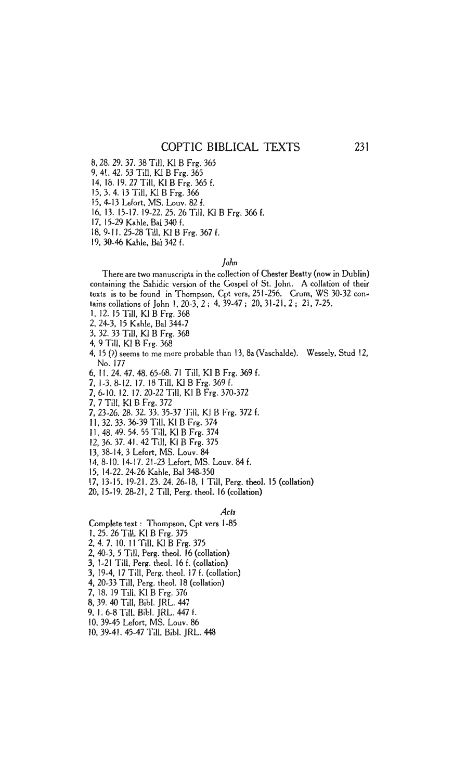- 8,28.29.37.38 Till, KI B Frg. 365
- 9,41. 42. 53 Till, KI B Frg. 365
- 14, 18. 19.27 Till, KI B Frg. 365 f.
- 15,3.4. 13 Till, KI B Frg. 366
- 15,4-13 Lefort, MS. Louv. 82 f.
- 16, 13. 15-17. 19-22.25.26 Till, KI B Frg. 366 f.
- 17, 15-29 Kahle, Ba1340 f.
- 18,9-11. 25-28 Till, KI B Frg. 367 f.
- 19,30-46 Kahle. Bal 342 f.

### *John*

There are two manuscripts in the collection of Chester Beatty (now in Dublin) containing the Sahidic version of the Gospel of St. John. A collation of their texts is to be found in Thompson. Cpt vers, 251-256. Crum. WS 30-32 contains collations of John I, 20-3. 2; 4, 39-47; 20,31-21, 2; 21, 7-25.

- I, 12. 15 Till, KI B Frg. 368
- 2, 24-3, 15 Kahle, Bal 344-7
- 3, 32. 33 Till, KI B Frg. 368
- 4,9 Till, KI B Frg. 368
- 4, 15 (?) seems to me more probable than 13, 8a (Vaschalde). Wessely. Stud 12. No. 177
- 6, 11. 24. 47. 48. 65-68. 71 Till, KI B Frg. 369 f.
- 7, 1-3.8-12. 17. 18 Till, KI B Frg. 369 f.
- 7,6-10.12.17.20-22 Till, KI B Frg. 370-372
- 7, 7 Till, KI B Frg. 372
- 7, 23-26. 28. 32. 33. 35-37 Till, KI B Frg. 372 f.
- II, 32. 33. 36·39 Till, KI B Frg. 374
- 11,48.49.54.55 Till. KI B Frg. 374
- 12,36.37.41. 42 Till, KI B Frg. 375
- 13,38-14,3 Lefort, MS. Louv. 84
- 14,8-10.14-17.21-23 Lefort, MS. Louv. 84 f.
- 15. 14-22. 24-26 Kahle, Bal 348-350
- 17. 13-15. 19-21. 23. 24. 26-18, I Till, Perg. theo!. 15 (collation)
- 20, 15-19. 28-21, 2 Till, Perg. theol. 16 (collation)

### *Acts*

- Complete text: Thompson, Cpt vers 1-85
- I, 25. 26 Till, KI B Frg. 375
- 2,4. 7. 10. II Till, KI B Frg. 375
- 2. 40-3, 5 Till, Perg. theo!. 16 (collation)
- 3. 1-21 Till, Perg. theo!. 16 f. (collation)
- 3, 19-4, 17 Till, Perg. theol. 17 f. (collation)
- 4. 20-33 Till, Perg. theo!. 18 (collation)
- 7. 18. 19 Till, KI B Frg. 376
- 8, 39. 40 Till, Bib!. JRL. 447
- 9, I. 6-8 Till, Bib!. JRL. 447 f.
- 10,39-45 Lefort. MS. Louv. 86
- 10. 39-41. 45-47 Till, Bib!. JRL. 448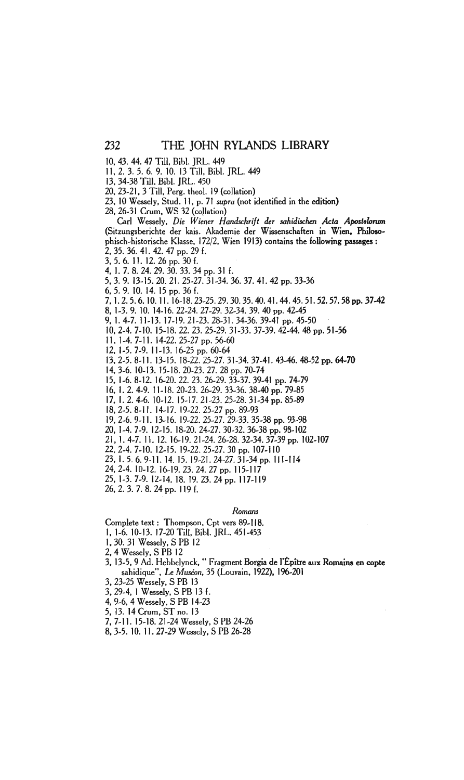10, 43. 44. 47 Till, Bib!. jRL. 449

- 11, 2. 3. 5. 6. 9. 10. 13 Till, Bib!. jRL. 449
- 13,34-38 Till, Bibl. jRL. 450
- 20, 23-21, 3 Till, Perg. theo!. 19 (collation)
- 23, 10 Wessely, Stud. 11, p. <sup>71</sup> *supra* (not identified in the edition)
- 28,26-31 Crum, WS 32 (collation)

Carl Wessely, *Die Wiener Handschrift Jer sahidixhen Acta Apostolorum* (Sitzungsberichte der kais. Akademie der Wissenschaften in Wien, Philosophisch-historische Klasse, 172/2, Wien 1913) contains the following passages: 2,35.36.41.42.47 pp. 29 f.

- 
- 3, 5.6. II. 12.26 pp. 30 f.
- 4, I. 7. 8. 24. 29. 30. 33. 34 pp. 31 f.
- 5,3.9. 13-15.20.21. 25-27. 31-34. 36. 37. 41. 42 pp. 33-36
- 6,5.9. 10. 14. 15 pp. 36 f.
- 7, 1.2.5.6.10.11.16-18.23-25.29.30.35.40.41.44.45.51.52.57.58 pp. 37-42
- 8, 1-3.9.10.14-16.22-24.27-29.32-34.39.40 pp. 42~5
- 9, 1. 4-7. 11-13. 17-19. 21-23. 28-31. 34-36. 39-41 pp. 45-50
- 10,2-4.7-10.15-18.22.23.25-29.31-33.37-39.42-44.48 pp. 51-56
- 11, 1-4.7-11. 14-22.25-27 pp. 56-60
- 12, 1-5.7-9. 11-13. 16-25 pp. 60-64
- 13,2-5.8-11. 13-15. 18-22.25-27.31-34.37-41. 43-46. 48-52 pp. 64-70
- 14,3-6. 10-13. 15-18.20-23. 27. 28 pp. 70-74
- 15, 1-6.8-12. 16-20.22.23. 26-29. 33-37. 39-41 pp.74-79
- 16, I. 2. 4-9. 11-18.20-23.26-29.33-36.38-40 pp. 79-85
- 17, I. 2. 4-6.10-12.15-17.21-23.25-28.31-34 pp. 85-89
- 18,2-5.8-11. 14-17. 19-22.25-27 pp. 89-93
- 19,2-6.9-11. 13-16. 19-22.25-27.29-33.35-38 pp. 93-98 20, 1-4. 7-9. 12-15. 18-20.24-27.30-32.36-38 pp. 98-102
- 21, 1.4-7.11. 12.16-19. 21-24. 26-28. 32-34. 37-39 pp. 102-107
- 22,2-4. 7-10. 12-15. 19-22.25-27.30 pp. 107-110
- 23,1.5.6.9-11. 14.15. 19-21. 24-27. 31-34pp. 111-114
- 24,2-4. 10-12. 16-19.23.24.27 pp. 115-117
- 25, 1-3. 7-9. 12-14. 18. 19.23.24 pp. 117-119
- 26,2.3. 7. 8.24 pp. 119 f.

#### *Romans*

- Complete text: Thompson, Cpt vers 89-118.
- 1, 1-6. 10-13. 17-20 Till, Bibl. jRL. 451-453
- 1,30.31 Wessely, S PB 12
- 2,4 Wessely, S PB 12
- 3, 13-5,9 Ad. Hebbelynck, " Fragment Borgia de I'Epitre aux Romains en copte sahidique", Le *Museon,* 35 (Louvain, 1922), 196-201
- 3, 23-25 Wessely, S PB 13
- 3,29-4, 1Wessely, S PB 13 f.
- 4,9-6,4 Wessely, S PB 14-23
- 5, 13. 14 Crum, ST no. 13
- 7,7-11. 15-18.21-24 Wessely, S PB 24-26
- 8,3-5. 10. II. 27-29 Wessely, S PB 26-28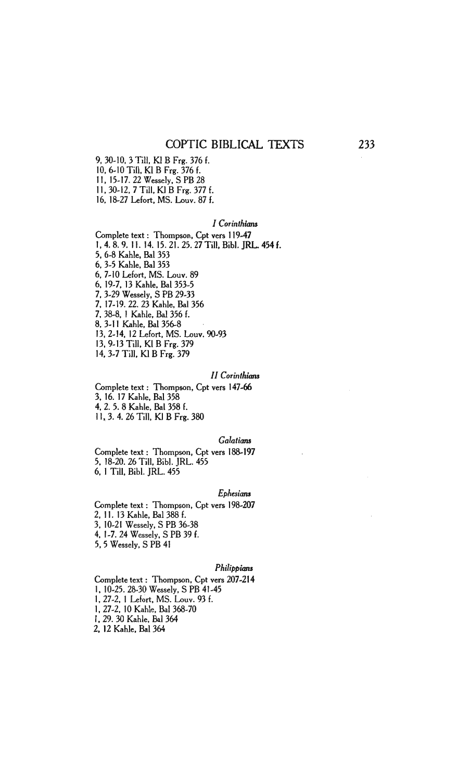# COPTIC BIBLICAL TEXTS

9,30-10,3 Till, KI B Frg. 376 f. 10,6-10 Till, KI B Frg. 376 f. II, 15-17.22 Wessely, S PB 28 II, 30-12, 7Till, KI BFrg. 377 f. 16, 18-27 Lefort, MS. Louv. 87 f.

### *I Corinthians*

Complete text: Thompson, Cpt vers 119-47 I, 4. 8. 9. II. 14. 15. 21. 25. 27 Till, BibI. JRL 454 f. 5, 6-8 Kahle, Bal 353 6, 3-5 Kahle. Bal 353 6,7-10 Lefort, MS. Louv. 89 6, 19-7, 13 Kahle, Ba1353-5 7, 3-29 Wessely, S PB 29-33 7, 17-19.22.23 Kahle, Bal356 7, 38-8, I Kahle, BaI 356 f. 8, 3-11 Kahle, Bal 356-8 13,2-14, 12 Lefort, MS. Louv.9O-93 13,9-13 Till, KI B Frg. 379 14,3-7 Till, KI B Frg. 379

## *II* Corinthians

Complete text: Thompson, Cpt vers 147-66 3, 16. 17 Kahle, Bal 358 4. 2. 5. 8 Kahle, Bal 358 f. 11,3.4.26 Till, KI B Frg. 380

## *Galatiaru*

Complete text: Thompson, Cpt vers 188-197 5, 18-20.26 Till, BibI. JRL. 455 6, 1Till, BibI. JRL. 455

## Ephesians

Complete text: Thompson, Cpt vers 198-207 2, II. 13 Kahle, Bal 388 f. 3, 10-21 Wessely, S PB 36-38 4, 1-7. 24 Wessely, S PB 39 f. 5,5 Wessely, S PB 41

## *Philippiam*

Complete text: Thompson, Cpt vers 207-214 I, 10-25.28-30 Wessely, S PB 41-45 1, 27-2, 1 Lefort, MS. Louv. 93 f. 1,27-2,10 Kahle, BaI368-70 1,29.30 Kahle, Ba1364 2, 12 Kahle, Bal 364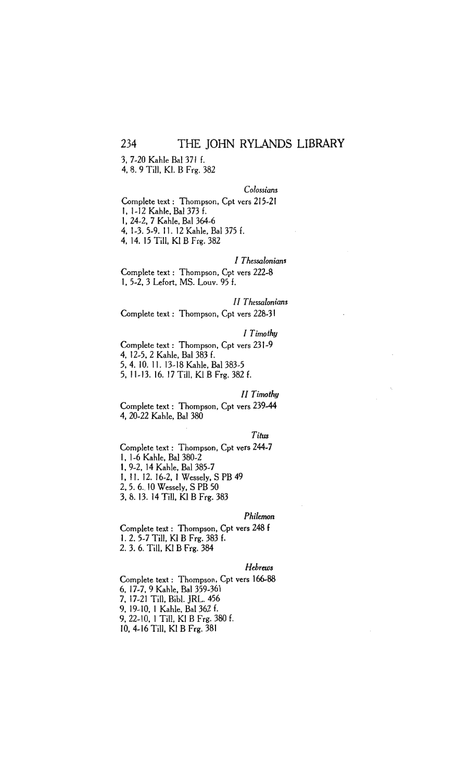3, 7-20 Kahle Bal 371 f.

234

4, 8. 9 Till, Kl. B Frg. 382

Colossians

Complete text : Thompson, Cpt vers 215-21 1, 1-12 Kahle, Bal 373 f. 1, 24-2, 7 Kahle, Bal 364-6 4, 1-3. 5-9. 11. 12 Kahle, Bal 375 f. 4, 14. 15 Till, KI B Frg. 382

## *I* Thessalonians

Complete text: Thompson, Cpt vers 222-8 1, 5-2, 3 Lefort, MS. Louv. 95 f.

**II** Thessalonians

Complete text : Thompson, Cpt vers 228-31

I Timothu

Complete text : Thompson, Cpt vers 231-9 4, 12-5, 2 Kahle, Bal 383 f. 5, 4. 10. 11. 13-18 Kahle, Bal 383-5 5, 11-13. 16. 17 Till, KI B Frg. 382 f.

**II** Timothu Complete text: Thompson, Cpt vers 239-44 4, 20-22 Kahle, Bal 380

Titus

Complete text : Thompson, Cpt vers 244-7 1, 1-6 Kahle, Bal 380-2 1, 9-2, 14 Kahle, Bal 385-7 1, 11. 12. 16-2, 1 Wessely, S PB 49 2, 5. 6. 10 Wessely, S PB 50 3, 8. 13. 14 Till, Kl B Frg. 383

Philemon

Complete text : Thompson, Cpt vers 248 f 1. 2. 5-7 Till, Kl B Frg. 383 f. 2. 3. 6. Till, Kl B Frg. 384

## Hebrews

Complete text : Thompson, Cpt vers 166-88 6, 17-7, 9 Kahle, Bal 359-361 7, 17-21 Till, Bibl. JRL. 456 9, 19-10, 1 Kahle, Bal 362 f. 9, 22-10, 1 Till, KI B Frg. 380 f. 10, 4-16 Till, Kl B Frg. 381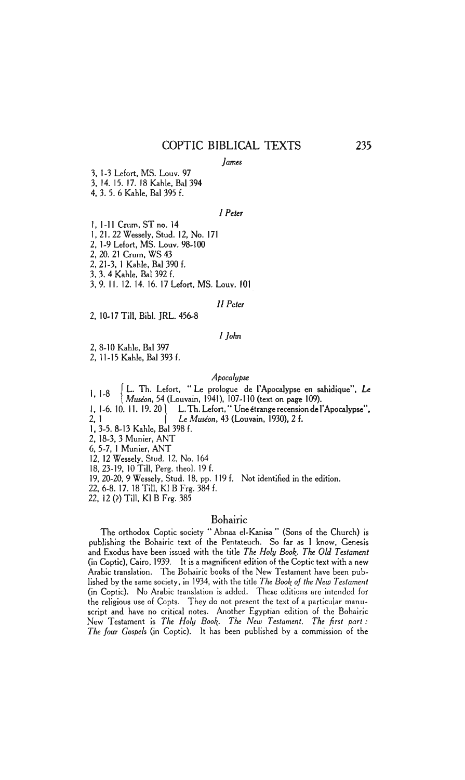## COPTIC BIBLICAL TEXTS

*James*

3, 1~3 Lefort, MS. Louv. 97 3,14.15. 17. 18 Kahle, Bal394

4, 3. 5. 6 Kahle, Bal 395 f.

## *I Peter*

1, I-II Crum, ST no. 14

1,21. 22 Wessely, Stud. 12, No. 171

2, 1-9 Lefort, MS. Louv. 98-100

2, 20. 21 Crum, WS 43

2,21-3, I Kahle. Ba1390 f.

3. 3. 4 Kahle, Bal 392 f.

3,9. II. 12. 14. 16. 17 Lefort, MS. Louv. 101

### II *Peter*

2, 10-17 Till, Bib!. JRL. 456-8

## I *John*

2, 8~ 10 Kahle, Bal 397

2, 11-15 Kahle, Bal 393 f.

## *Apocalypse*

- 1, 1-8  $\left\{\begin{array}{l}\right. L. \text{ Th. Lefort, } \text{``Le prologue de l'Apocalypse en sahidique'', } \text{ } Le \text{ }\text{ } Muséon, 54 \text{ (Louvain, 1941), 107-110 (text on page 109).}\ \text{I. } 1-6. \text{ 10. 11. 19. 20 }\right.\end{array}$
- L. Th. Lefort, "Une étrange recension de l'Apocalypse",
- 2, I *Le Museon,* 43 (Louvain, 1930),2 f.
- 1,3-5. 8-13 Kahle, Bal398 f.

2, 18-3, 3 Munier, ANT

6, 5-7, I Munier, ANT

12, 12 Wessely, Stud. 12. No. 164

18. 23-19, 10 Till, Perg. theol. 19 f.

19. 20~20. 9 Wessely, Stud. 18. pp. 119 f. Not identified in the edition.

22, 6-8. 17. 18 Till, Kl B Frg. 384 f.

22, 12 (?) Till, Kl B Frg. 385

## Bohairic

The orthodox Coptic society" Abnaa el-Kanisa" (Sons of the Church) is publishing the Bohairic text of the Pentateuch. So far as I know. Genesis and Exodus have been issued with the title *The Holy Book. The Old Testament* (in Coptic), Cairo. 1939. It is a magnificent edition of the Coptic text with a new Arabic translation. The Bohairic books of the New Testament have been published by the same society. in 1934, with the title *The Book 0/ the New Testament* (in Coptic). No Arabic translation is added. These editions are intended for the religious use of Copts. They do not present the text of a particular manuscript and have no critical notes. Another Egyptian edition of the Bohairic New Testament is *The Holy Book. The New Testament. The first part: The four Gospels* (in Coptic). It has been published by a commission of the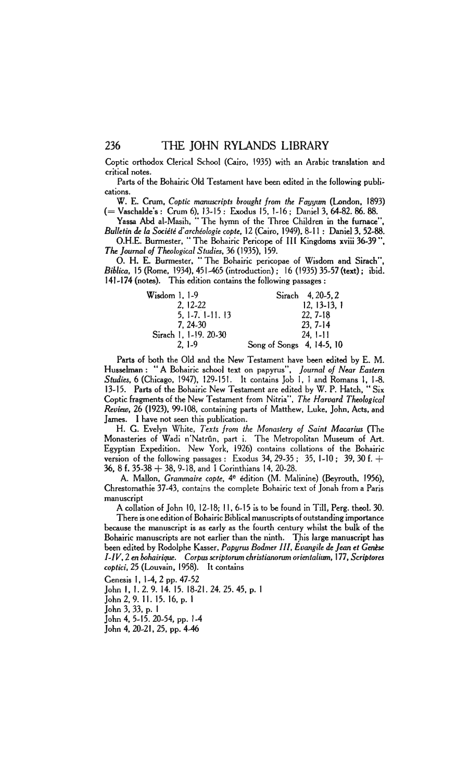Coptic orthodox Clerical School (Cairo. 1935) with an Arabic translation and critical notes.

Parts of the Bohairic Old Testament have been edited in the following publications.

W. E. Crum, *Coptic manuscripts brought from the Fayyum* (London, 1893) (= Vaschalde's: Crum 6), 13-15: Exodus IS. 1-16; Daniel 3, 64-82. 86. 88.

Yassa Abd al-Masih. "The hymn of the Three Children in the furnace", *Bulletin de la Societe d'archeologie copte,* 12 (Cairo, 1949).8-11 : Daniel 3, 52-88.

O.H.E. Burmester, "The Bohairic Pericope of III Kingdoms xviii 36-39", *The Journal of Theological Studies.* 36 (1935), 159.

O. H. E. Bunnester, "The Bohairic pericopae of Wisdom and Sirach", *Biblica,* 15 (Rome, 1934),451-465 (introduction); 16 (1935)35-57 (text); ibid. 14I-174 (notes). This edition contains the following passages :

| Wisdom 1, 1-9         | Sirach 4, 20-5, 2         |
|-----------------------|---------------------------|
| $2.12 - 22$           | $12, 13-13, 1$            |
| $5, 1-7, 1-11, 13$    | 22.7-18                   |
| $7.24 - 30$           | $23, 7 - 14$              |
| Sirach 1, 1-19, 20-30 | $24.1 - 11$               |
| $2, 1-9$              | Song of Songs 4, 14-5, 10 |

Parts of both the Old and the New Testament have been edited by E. M. Husselman: .. A Bohairic school text on papyrus", *Journal of Near Eastern Studies,* 6 (Chicago, 1947), 129-151. It contains Job I, I and Romans J, 1-8. 13-15. Parts of the Bohairic New Testament are edited by W. P. Hatch, "Six Coptic fragments of the New Testament from Nitria", *The Harvard Theological Review,* 26 (1923), 99-108, containing parts of Matthew, Luke, John, Acts, and James. I have not seen this publication.

H. G. Evelyn White. *Texts from the Monastery of Saint Macarius* (The Monasteries of Wadi n'Natrûn, part i. The Metropolitan Museum of Art. Egyptian Expedition. New York, 1926) contains collations of the Bohairic version of the following passages: Exodus 34, 29-35; 35, 1-10; 39, 30 f.  $+$ 36. <sup>8</sup> f. 35-38 +38. 9-18, and <sup>I</sup> Corinthians 14. 20-28.

A. Mallon, *Grammaire copte,* 4e edition (M. Malinine) (Beyrouth, 1956), Chrestomathie 37-43, contains the complete Bohairic text of Jonah from a Paris manuscript

A collation of John 10, 12-18; 11, 6-15 is to be found in Till, Perg. theol. 30.

There is one edition of BohairicBiblical manuscripts of outstanding importance because the manuscript is as early as the fourth century whilst the bulk of the Bohairic manuscripts are not earlier than the ninth. This large manuscript has been edited by Rodolphe Kasser. *Papyrus Bodmer III, Evangile de Jean* et *Genbe I-IV.* 2en *bohairique. Corpus scriptorum christianorum orientaliwn.* 177, *Scriptores coptici,* 25 (Louvain, 1958). It contains

Genesis J, 1-4,2 pp. 47-52

John I, I. 2. 9. 14. 15. 18-21. 24. 25. 45, p. I

John 2, 9. 11. 15. 16, p. 1

John 3, 33, p. I

John 4, 5-15. 20-54, pp. 1-4

John 4, 20-21, 25, pp. 4-46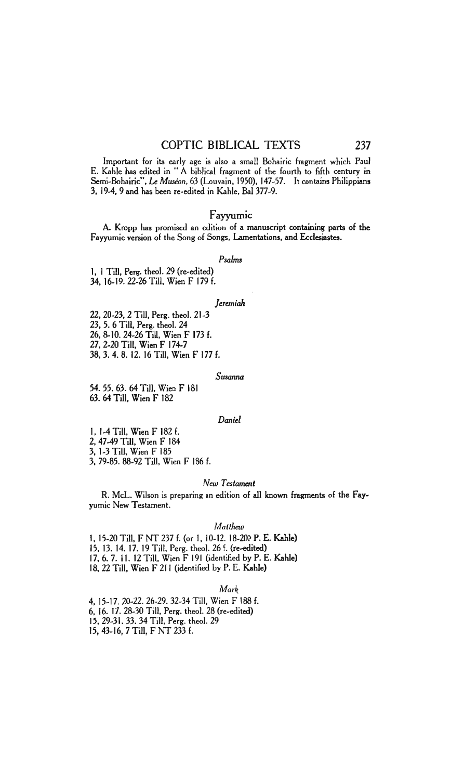Important for its early age is also a small Bohairic fragment which Paul E. Kahle has edited in "A biblical fragment of the fourth to fifth century in Semi-Bohairic". Le *Museon,* 63 (Louvain. 1950). 147-57. It contains Philippians 3, 19.4.9 and has been re-edited in Kahle. BaI377-9.

## Fayyumic

A. Kropp has promised an edition of a manuscript containing parts of the Fayyumic version of the Song of Songs. Lamentations. and Ecclesiastes.

#### *Psalnu*

1. I Till. Perg. theol. 29 (re-edited) 34, 16-19.22-26 Till. Wien F 179 f.

### Jeremiah

22.20-23.2 Till. Perg. theol. 21-3 23. 5. 6 Till. Perg. theol. 24 26. 8-10. 24.26 Till. Wien F 173 f. 27.2-20 Till. Wien F 174-7 38.3.4.8. 12. 16 Till. Wien F 177 f.

### Susanna

54.55.63.64 Till, Wien F 181 63. 64 Till. Wien F 182

### *Daniel*

1. 1.4 Till. Wien F 182 f. 2.47.49 Till. Wien F 184 3. 1.3 Till. Wien F 185 3. 79-85. 88-92 Till. Wien F 186 f.

#### *New Testament*

R. MeL. Wilson is preparing an edition of all known fragments of the Fayyumic New Testament.

## *Matthew*

I. 15-20 Till. F NT 237£. (or I. 10-12. 18-20? P. E. Kahle) 15, 13. 14. 17. 19 Till, Perg. theol. 26 f. (re-edited) 17.6.7. 11. 12 Till. Wien F 191 (identified by P. E. Kahle) 18.22 Till. Wien F 211 (identified by P. E. Kahle)

### *Mark*

4. 15.17.20.22.26-29.32-34 Till. Wien F 188 f. 6. 16. 17. 28-30 Till. Perg. theoI. 28 (re-edited) 15.29·31. 33. 34 Till. Perg. theoI. 29 15. 43.16. 7Till. F NT 233 f.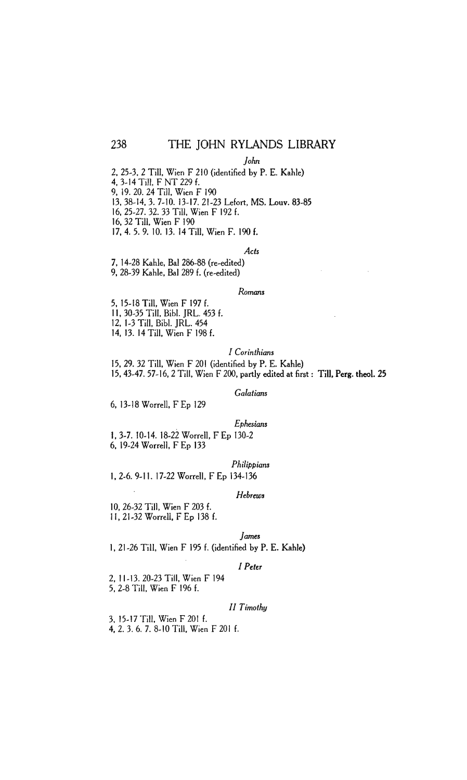### *John*

2. 25~3. 2 Till. Wien F 210 (identified by P. E. Kahle)

4. 3~ 14 Till. F NT 229 f.

9. 19.20.24 Till. Wien F 190

13, 38-14, 3. 7-10. 13-17. 21-23 Lefort, MS. Louv. 83-85

16.25-27.32.33 Till. Wien F 192 f.

16. 32 Till. Wien F 190

17.4.5.9. 10. 13. 14 Till, Wien F. 190 f.

## *Acts*

7. 14~28 Kahle. BaI286-88 (re-edited) 9.28-39 Kahle. Bal289 f. (re-edited)

### Romans

5. 15~18 Till, Wien F 197 f. II. 30-35 Till, Bib!. JRL. 453 f. 12. 1-3 Till, Bib!. JRL. 454 14. 13. 14 Till. Wien F 198 f.

#### *I Corinthians*

15.29.32 Till. Wien F 201 (identified by P. E. Kahle) 15.43-47.57-16.2 Till. Wien F 200. partly edited at first: Till. Perg. theol. 25

### *Galatians*

6. 13-18 Worrell. F Ep 129

### *Ephesians*

1, 3~7. 10-14. 18-22 Worrell. F Ep 130-2 6. 19-24 Worrell. F Ep 133

*Philippians*

I. 2-6. 9-11. 17~22 Worrell. F Ep 134-136

### *Hebrews*

10. 26-32 Till. Wien F 203 f. I1.21-32 Worrell. F Ep 138 f.

### *James*

I, 21-26 Till. Wien F 195 f. (identified by P. E. Kahle)

## *I Peter*

2, 11~13. 20-23 Till. Wien F 194 5,2-8 Till. Wien F 196 f.

### *II Timothy*

3. 15-17 Till, Wien F 201 f.

4.2.3.6.7.8-10 Till. Wien F 201 f.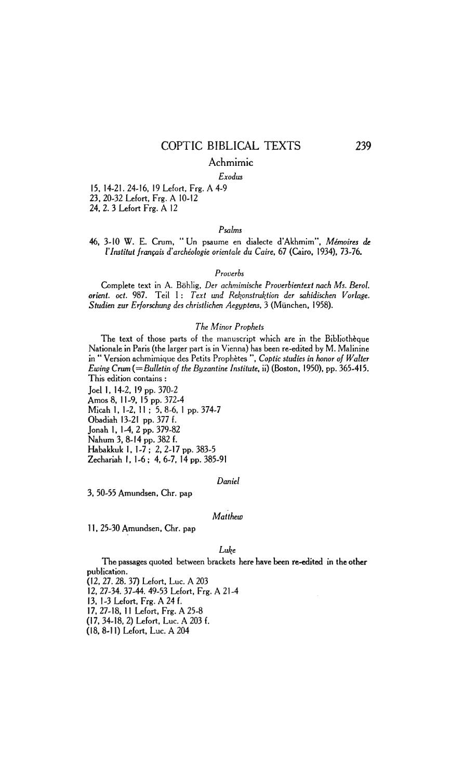## Achmimic

### *Exodus*

15, 14-21. 24-16. 19 Lefort, Frg. A 4-9

23,20-32 Lefort. Frg. A 10-12

24, 2. 3 Lefort Frg. A 12

## *Psalms*

46, 3-10 W. E. Crum, "Un psaume en dialecte d'Akhmim", Mémoires de *l'Institut* /ran~is *d'archeologie orientale du Caire,* 67 (Cairo, 1934), 73-76.

### *Proverbs*

Complete text in A. Bohlig, *Der achmimische Proverbientext nach Ms. Bero!. orient. oct.* 987. Teil I: *Text und Rekonstruktion der sahidischen Vorlage. Studien zur Er/orschung des christlichen Aegyptens,* 3 (Mlinchen. 1958).

### *The Minor Prophets*

The text of those parts of the manuscript which are in the Bibliothèque Nationale in Paris (the larger part is in Vienna) has been re-edited by M. Malinine in" Version achmimique des Petits Prophetes ", *Coptic studies in honor* 0/ *Walter Ewing* Crum *(=Bulletin* 0/ *the Byzantine Institute,* ii) (Boston, 1950), pp. 365-415. This edition contains :

Joel \, 14-2, 19 pp. 370-2 Amos 8. 11-9, 15 pp. 372-4 Micah I, 1-2, <sup>11</sup> ; 5, 8-6, 1 pp. 374-7 Obadiah 13-21 pp. 377 f. Jonah I, 1-4, 2 pp. 379-82 Nahum 3, 8-14 pp. 382 f. Habakkuk \, 1-7; 2,2-17 pp. 383-5 Zechariah \, 1-6; 4,6-7. 14 pp. 385-91

### *Daniel*

3,50-55 Amundsen, Chr. pap

### *Matthew*

11, 25-30 Amundsen, Chr. pap

### *Luke*

The passages quoted between brackets here have been re-edited in the other publication.

(12,27.28.37) Lefort, Luc. A 203

12,27-34.37-44.49-53 Lefort, Frg. A 21-4

13, 1-3 Lefort, Frg. A 24 f.

17,27-18, <sup>11</sup> Lefort, Frg. A 25-8

(17,34-18,2) Lefort. Luc. A 203 f.

(18, 8-1 J) Lefort, Luc. A 204

239